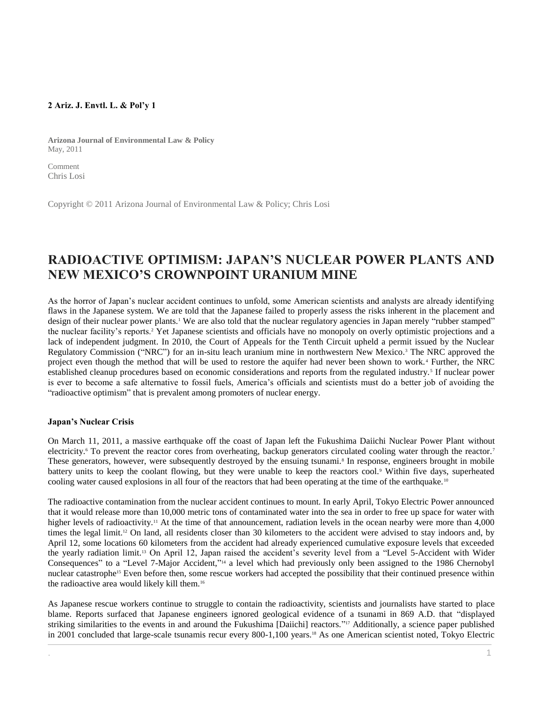## **2 Ariz. J. Envtl. L. & Pol'y 1**

**Arizona Journal of Environmental Law & Policy** May, 2011

Comment Chris Losi

Copyright © 2011 Arizona Journal of Environmental Law & Policy; Chris Losi

# **RADIOACTIVE OPTIMISM: JAPAN'S NUCLEAR POWER PLANTS AND NEW MEXICO'S CROWNPOINT URANIUM MINE**

As the horror of Japan's nuclear accident continues to unfold, some American scientists and analysts are already identifying flaws in the Japanese system. We are told that the Japanese failed to properly assess the risks inherent in the placement and design of their nuclear power plants.<sup>1</sup> We are also told that the nuclear regulatory agencies in Japan merely "rubber stamped" the nuclear facility's reports.<sup>2</sup> Yet Japanese scientists and officials have no monopoly on overly optimistic projections and a lack of independent judgment. In 2010, the Court of Appeals for the Tenth Circuit upheld a permit issued by the Nuclear Regulatory Commission ("NRC") for an in-situ leach uranium mine in northwestern New Mexico.<sup>3</sup> The NRC approved the project even though the method that will be used to restore the aquifer had never been shown to work. <sup>4</sup> Further, the NRC established cleanup procedures based on economic considerations and reports from the regulated industry.<sup>5</sup> If nuclear power is ever to become a safe alternative to fossil fuels, America's officials and scientists must do a better job of avoiding the "radioactive optimism" that is prevalent among promoters of nuclear energy.

## **Japan's Nuclear Crisis**

On March 11, 2011, a massive earthquake off the coast of Japan left the Fukushima Daiichi Nuclear Power Plant without electricity.<sup>6</sup> To prevent the reactor cores from overheating, backup generators circulated cooling water through the reactor.<sup>7</sup> These generators, however, were subsequently destroyed by the ensuing tsunami.<sup>8</sup> In response, engineers brought in mobile battery units to keep the coolant flowing, but they were unable to keep the reactors cool.<sup>9</sup> Within five days, superheated cooling water caused explosions in all four of the reactors that had been operating at the time of the earthquake. <sup>10</sup>

The radioactive contamination from the nuclear accident continues to mount. In early April, Tokyo Electric Power announced that it would release more than 10,000 metric tons of contaminated water into the sea in order to free up space for water with higher levels of radioactivity.<sup>11</sup> At the time of that announcement, radiation levels in the ocean nearby were more than 4,000 times the legal limit.<sup>12</sup> On land, all residents closer than 30 kilometers to the accident were advised to stay indoors and, by April 12, some locations 60 kilometers from the accident had already experienced cumulative exposure levels that exceeded the yearly radiation limit.<sup>13</sup> On April 12, Japan raised the accident's severity level from a "Level 5-Accident with Wider Consequences" to a "Level 7-Major Accident,"<sup>14</sup> a level which had previously only been assigned to the 1986 Chernobyl nuclear catastrophe<sup>15</sup> Even before then, some rescue workers had accepted the possibility that their continued presence within the radioactive area would likely kill them.<sup>16</sup>

As Japanese rescue workers continue to struggle to contain the radioactivity, scientists and journalists have started to place blame. Reports surfaced that Japanese engineers ignored geological evidence of a tsunami in 869 A.D. that "displayed striking similarities to the events in and around the Fukushima [Daiichi] reactors."<sup>17</sup> Additionally, a science paper published in 2001 concluded that large-scale tsunamis recur every 800-1,100 years.<sup>18</sup> As one American scientist noted, Tokyo Electric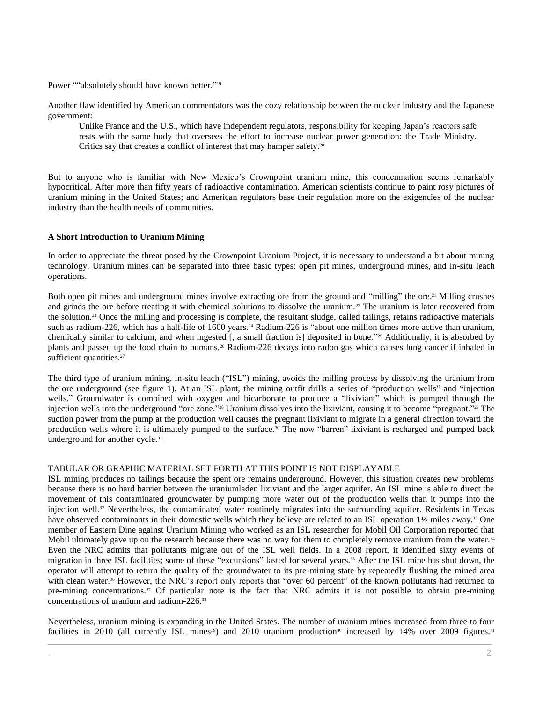Power ""absolutely should have known better."<sup>19</sup>

Another flaw identified by American commentators was the cozy relationship between the nuclear industry and the Japanese government:

Unlike France and the U.S., which have independent regulators, responsibility for keeping Japan's reactors safe rests with the same body that oversees the effort to increase nuclear power generation: the Trade Ministry. Critics say that creates a conflict of interest that may hamper safety.<sup>20</sup>

But to anyone who is familiar with New Mexico's Crownpoint uranium mine, this condemnation seems remarkably hypocritical. After more than fifty years of radioactive contamination, American scientists continue to paint rosy pictures of uranium mining in the United States; and American regulators base their regulation more on the exigencies of the nuclear industry than the health needs of communities.

### **A Short Introduction to Uranium Mining**

In order to appreciate the threat posed by the Crownpoint Uranium Project, it is necessary to understand a bit about mining technology. Uranium mines can be separated into three basic types: open pit mines, underground mines, and in-situ leach operations.

Both open pit mines and underground mines involve extracting ore from the ground and "milling" the ore.<sup>21</sup> Milling crushes and grinds the ore before treating it with chemical solutions to dissolve the uranium.<sup>22</sup> The uranium is later recovered from the solution.<sup>23</sup> Once the milling and processing is complete, the resultant sludge, called tailings, retains radioactive materials such as radium-226, which has a half-life of 1600 years.<sup>24</sup> Radium-226 is "about one million times more active than uranium, chemically similar to calcium, and when ingested [, a small fraction is] deposited in bone." <sup>25</sup> Additionally, it is absorbed by plants and passed up the food chain to humans.<sup>26</sup> Radium-226 decays into radon gas which causes lung cancer if inhaled in sufficient quantities.<sup>27</sup>

The third type of uranium mining, in-situ leach ("ISL") mining, avoids the milling process by dissolving the uranium from the ore underground (see figure 1). At an ISL plant, the mining outfit drills a series of "production wells" and "injection wells." Groundwater is combined with oxygen and bicarbonate to produce a "lixiviant" which is pumped through the injection wells into the underground "ore zone." <sup>28</sup> Uranium dissolves into the lixiviant, causing it to become "pregnant." <sup>29</sup> The suction power from the pump at the production well causes the pregnant lixiviant to migrate in a general direction toward the production wells where it is ultimately pumped to the surface.<sup>30</sup> The now "barren" lixiviant is recharged and pumped back underground for another cycle.<sup>31</sup>

### TABULAR OR GRAPHIC MATERIAL SET FORTH AT THIS POINT IS NOT DISPLAYABLE

ISL mining produces no tailings because the spent ore remains underground. However, this situation creates new problems because there is no hard barrier between the uraniumladen lixiviant and the larger aquifer. An ISL mine is able to direct the movement of this contaminated groundwater by pumping more water out of the production wells than it pumps into the injection well.<sup>32</sup> Nevertheless, the contaminated water routinely migrates into the surrounding aquifer. Residents in Texas have observed contaminants in their domestic wells which they believe are related to an ISL operation 1½ miles away.<sup>33</sup> One member of Eastern Dine against Uranium Mining who worked as an ISL researcher for Mobil Oil Corporation reported that Mobil ultimately gave up on the research because there was no way for them to completely remove uranium from the water.<sup>34</sup> Even the NRC admits that pollutants migrate out of the ISL well fields. In a 2008 report, it identified sixty events of migration in three ISL facilities; some of these "excursions" lasted for several years.<sup>35</sup> After the ISL mine has shut down, the operator will attempt to return the quality of the groundwater to its pre-mining state by repeatedly flushing the mined area with clean water.<sup>36</sup> However, the NRC's report only reports that "over 60 percent" of the known pollutants had returned to pre-mining concentrations.<sup>37</sup> Of particular note is the fact that NRC admits it is not possible to obtain pre-mining concentrations of uranium and radium-226.<sup>38</sup>

Nevertheless, uranium mining is expanding in the United States. The number of uranium mines increased from three to four facilities in 2010 (all currently ISL mines<sup>39</sup>) and 2010 uranium production<sup>40</sup> increased by 14% over 2009 figures.<sup>41</sup>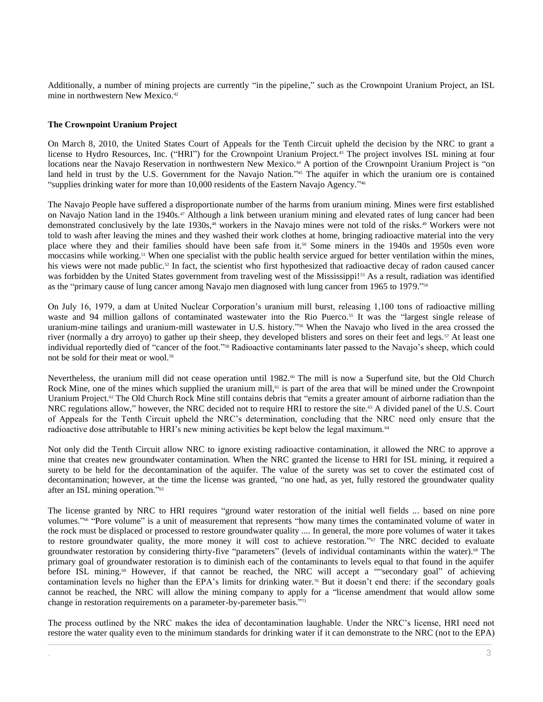Additionally, a number of mining projects are currently "in the pipeline," such as the Crownpoint Uranium Project, an ISL mine in northwestern New Mexico.<sup>42</sup>

## **The Crownpoint Uranium Project**

On March 8, 2010, the United States Court of Appeals for the Tenth Circuit upheld the decision by the NRC to grant a license to Hydro Resources, Inc. ("HRI") for the Crownpoint Uranium Project.<sup>43</sup> The project involves ISL mining at four locations near the Navajo Reservation in northwestern New Mexico.<sup>44</sup> A portion of the Crownpoint Uranium Project is "on land held in trust by the U.S. Government for the Navajo Nation."<sup>45</sup> The aquifer in which the uranium ore is contained "supplies drinking water for more than 10,000 residents of the Eastern Navajo Agency." 46

The Navajo People have suffered a disproportionate number of the harms from uranium mining. Mines were first established on Navajo Nation land in the 1940s.<sup>47</sup> Although a link between uranium mining and elevated rates of lung cancer had been demonstrated conclusively by the late 1930s,<sup>48</sup> workers in the Navajo mines were not told of the risks.<sup>49</sup> Workers were not told to wash after leaving the mines and they washed their work clothes at home, bringing radioactive material into the very place where they and their families should have been safe from it.<sup>50</sup> Some miners in the 1940s and 1950s even wore moccasins while working.<sup>51</sup> When one specialist with the public health service argued for better ventilation within the mines, his views were not made public.<sup>52</sup> In fact, the scientist who first hypothesized that radioactive decay of radon caused cancer was forbidden by the United States government from traveling west of the Mississippi!<sup>53</sup> As a result, radiation was identified as the "primary cause of lung cancer among Navajo men diagnosed with lung cancer from 1965 to 1979."<sup>54</sup>

On July 16, 1979, a dam at United Nuclear Corporation's uranium mill burst, releasing 1,100 tons of radioactive milling waste and 94 million gallons of contaminated wastewater into the Rio Puerco.<sup>55</sup> It was the "largest single release of uranium-mine tailings and uranium-mill wastewater in U.S. history." <sup>56</sup> When the Navajo who lived in the area crossed the river (normally a dry arroyo) to gather up their sheep, they developed blisters and sores on their feet and legs.<sup>57</sup> At least one individual reportedly died of "cancer of the foot." <sup>58</sup> Radioactive contaminants later passed to the Navajo's sheep, which could not be sold for their meat or wool.<sup>59</sup>

Nevertheless, the uranium mill did not cease operation until 1982.<sup>60</sup> The mill is now a Superfund site, but the Old Church Rock Mine, one of the mines which supplied the uranium mill,<sup>61</sup> is part of the area that will be mined under the Crownpoint Uranium Project.<sup> $\alpha$ </sup> The Old Church Rock Mine still contains debris that "emits a greater amount of airborne radiation than the NRC regulations allow," however, the NRC decided not to require HRI to restore the site.<sup>63</sup> A divided panel of the U.S. Court of Appeals for the Tenth Circuit upheld the NRC's determination, concluding that the NRC need only ensure that the radioactive dose attributable to HRI's new mining activities be kept below the legal maximum.<sup>64</sup>

Not only did the Tenth Circuit allow NRC to ignore existing radioactive contamination, it allowed the NRC to approve a mine that creates new groundwater contamination. When the NRC granted the license to HRI for ISL mining, it required a surety to be held for the decontamination of the aquifer. The value of the surety was set to cover the estimated cost of decontamination; however, at the time the license was granted, "no one had, as yet, fully restored the groundwater quality after an ISL mining operation." 65

The license granted by NRC to HRI requires "ground water restoration of the initial well fields ... based on nine pore volumes." <sup>66</sup> "Pore volume" is a unit of measurement that represents "how many times the contaminated volume of water in the rock must be displaced or processed to restore groundwater quality .... In general, the more pore volumes of water it takes to restore groundwater quality, the more money it will cost to achieve restoration."<sup>67</sup> The NRC decided to evaluate groundwater restoration by considering thirty-five "parameters" (levels of individual contaminants within the water).<sup>68</sup> The primary goal of groundwater restoration is to diminish each of the contaminants to levels equal to that found in the aquifer before ISL mining.<sup>69</sup> However, if that cannot be reached, the NRC will accept a ""secondary goal" of achieving contamination levels no higher than the EPA's limits for drinking water.<sup>70</sup> But it doesn't end there: if the secondary goals cannot be reached, the NRC will allow the mining company to apply for a "license amendment that would allow some change in restoration requirements on a parameter-by-paremeter basis." 71

The process outlined by the NRC makes the idea of decontamination laughable. Under the NRC's license, HRI need not restore the water quality even to the minimum standards for drinking water if it can demonstrate to the NRC (not to the EPA)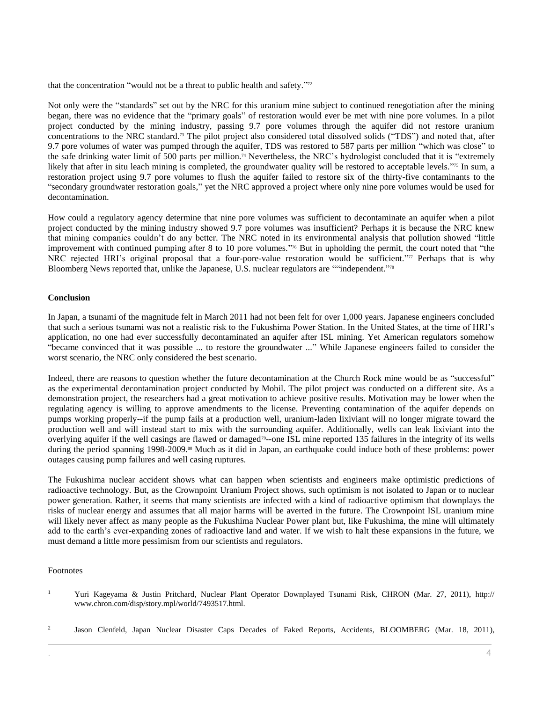that the concentration "would not be a threat to public health and safety."<sup>72</sup>

Not only were the "standards" set out by the NRC for this uranium mine subject to continued renegotiation after the mining began, there was no evidence that the "primary goals" of restoration would ever be met with nine pore volumes. In a pilot project conducted by the mining industry, passing 9.7 pore volumes through the aquifer did not restore uranium concentrations to the NRC standard.<sup>73</sup> The pilot project also considered total dissolved solids ("TDS") and noted that, after 9.7 pore volumes of water was pumped through the aquifer, TDS was restored to 587 parts per million "which was close" to the safe drinking water limit of 500 parts per million.<sup>74</sup> Nevertheless, the NRC's hydrologist concluded that it is "extremely likely that after in situ leach mining is completed, the groundwater quality will be restored to acceptable levels."<sup>75</sup> In sum, a restoration project using 9.7 pore volumes to flush the aquifer failed to restore six of the thirty-five contaminants to the "secondary groundwater restoration goals," yet the NRC approved a project where only nine pore volumes would be used for decontamination.

How could a regulatory agency determine that nine pore volumes was sufficient to decontaminate an aquifer when a pilot project conducted by the mining industry showed 9.7 pore volumes was insufficient? Perhaps it is because the NRC knew that mining companies couldn't do any better. The NRC noted in its environmental analysis that pollution showed "little improvement with continued pumping after 8 to 10 pore volumes." <sup>76</sup> But in upholding the permit, the court noted that "the NRC rejected HRI's original proposal that a four-pore-value restoration would be sufficient." <sup>77</sup> Perhaps that is why Bloomberg News reported that, unlike the Japanese, U.S. nuclear regulators are ""independent." 78

### **Conclusion**

In Japan, a tsunami of the magnitude felt in March 2011 had not been felt for over 1,000 years. Japanese engineers concluded that such a serious tsunami was not a realistic risk to the Fukushima Power Station. In the United States, at the time of HRI's application, no one had ever successfully decontaminated an aquifer after ISL mining. Yet American regulators somehow "became convinced that it was possible ... to restore the groundwater ..." While Japanese engineers failed to consider the worst scenario, the NRC only considered the best scenario.

Indeed, there are reasons to question whether the future decontamination at the Church Rock mine would be as "successful" as the experimental decontamination project conducted by Mobil. The pilot project was conducted on a different site. As a demonstration project, the researchers had a great motivation to achieve positive results. Motivation may be lower when the regulating agency is willing to approve amendments to the license. Preventing contamination of the aquifer depends on pumps working properly--if the pump fails at a production well, uranium-laden lixiviant will no longer migrate toward the production well and will instead start to mix with the surrounding aquifer. Additionally, wells can leak lixiviant into the overlying aquifer if the well casings are flawed or damaged<sup>79</sup>-one ISL mine reported 135 failures in the integrity of its wells during the period spanning 1998-2009.<sup>80</sup> Much as it did in Japan, an earthquake could induce both of these problems: power outages causing pump failures and well casing ruptures.

The Fukushima nuclear accident shows what can happen when scientists and engineers make optimistic predictions of radioactive technology. But, as the Crownpoint Uranium Project shows, such optimism is not isolated to Japan or to nuclear power generation. Rather, it seems that many scientists are infected with a kind of radioactive optimism that downplays the risks of nuclear energy and assumes that all major harms will be averted in the future. The Crownpoint ISL uranium mine will likely never affect as many people as the Fukushima Nuclear Power plant but, like Fukushima, the mine will ultimately add to the earth's ever-expanding zones of radioactive land and water. If we wish to halt these expansions in the future, we must demand a little more pessimism from our scientists and regulators.

#### Footnotes

- <sup>1</sup> Yuri Kageyama & Justin Pritchard, Nuclear Plant Operator Downplayed Tsunami Risk, CHRON (Mar. 27, 2011), http:// www.chron.com/disp/story.mpl/world/7493517.html.
- 2 Jason Clenfeld, Japan Nuclear Disaster Caps Decades of Faked Reports, Accidents, BLOOMBERG (Mar. 18, 2011),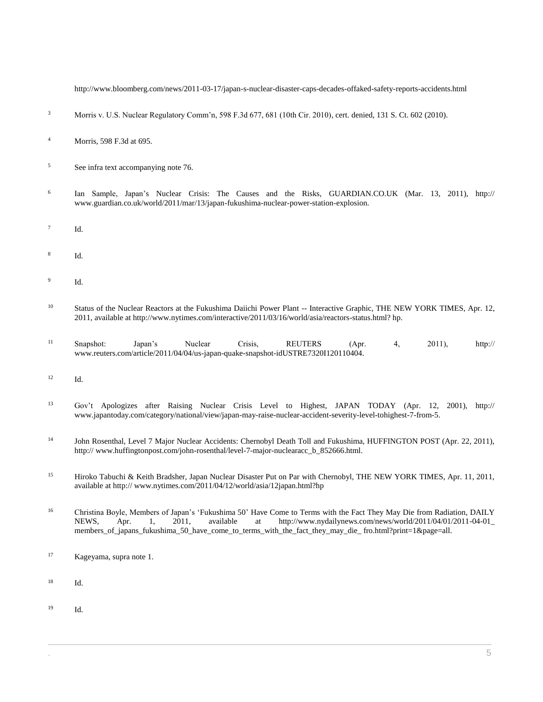http://www.bloomberg.com/news/2011-03-17/japan-s-nuclear-disaster-caps-decades-offaked-safety-reports-accidents.html

- <sup>3</sup> [Morris v. U.S. Nuclear Regulatory Comm'n, 598 F.3d 677, 681 \(10th Cir. 2010\),](http://www.westlaw.com/Link/Document/FullText?findType=Y&serNum=2021490631&pubNum=0000506&originatingDoc=I1ed640ee8c6911e498db8b09b4f043e0&refType=RP&fi=co_pp_sp_506_681&originationContext=document&vr=3.0&rs=cblt1.0&transitionType=DocumentItem&contextData=(sc.Search)#co_pp_sp_506_681) cert. denied[, 131 S. Ct. 602 \(2010\).](http://www.westlaw.com/Link/Document/FullText?findType=Y&serNum=2023083286&pubNum=0000708&originatingDoc=I1ed640ee8c6911e498db8b09b4f043e0&refType=RP&originationContext=document&vr=3.0&rs=cblt1.0&transitionType=DocumentItem&contextData=(sc.Search))
- <sup>4</sup> [Morris, 598 F.3d at 695.](http://www.westlaw.com/Link/Document/FullText?findType=Y&serNum=2021490631&pubNum=0000506&originatingDoc=I1ed640ee8c6911e498db8b09b4f043e0&refType=RP&fi=co_pp_sp_506_695&originationContext=document&vr=3.0&rs=cblt1.0&transitionType=DocumentItem&contextData=(sc.Search)#co_pp_sp_506_695)
- <sup>5</sup> See infra text accompanying note 76.
- 6 Ian Sample, Japan's Nuclear Crisis: The Causes and the Risks, GUARDIAN.CO.UK (Mar. 13, 2011), http:// www.guardian.co.uk/world/2011/mar/13/japan-fukushima-nuclear-power-station-explosion.
- 7 Id.
- 8 Id.
- 9 Id.
- <sup>10</sup> Status of the Nuclear Reactors at the Fukushima Daiichi Power Plant -- Interactive Graphic, THE NEW YORK TIMES, Apr. 12, 2011, available at http://www.nytimes.com/interactive/2011/03/16/world/asia/reactors-status.html? hp.
- <sup>11</sup> Snapshot: Japan's Nuclear Crisis, REUTERS (Apr. 4, 2011), http:// www.reuters.com/article/2011/04/04/us-japan-quake-snapshot-idUSTRE7320I120110404.
- <sup>12</sup> Id.
- <sup>13</sup> Gov't Apologizes after Raising Nuclear Crisis Level to Highest, JAPAN TODAY (Apr. 12, 2001), http:// www.japantoday.com/category/national/view/japan-may-raise-nuclear-accident-severity-level-tohighest-7-from-5.
- <sup>14</sup> John Rosenthal, Level 7 Major Nuclear Accidents: Chernobyl Death Toll and Fukushima, HUFFINGTON POST (Apr. 22, 2011), http:// www.huffingtonpost.com/john-rosenthal/level-7-major-nuclearacc\_b\_852666.html.
- <sup>15</sup> Hiroko Tabuchi & Keith Bradsher, Japan Nuclear Disaster Put on Par with Chernobyl, THE NEW YORK TIMES, Apr. 11, 2011, available at http:// www.nytimes.com/2011/04/12/world/asia/12japan.html?hp
- <sup>16</sup> Christina Boyle, Members of Japan's 'Fukushima 50' Have Come to Terms with the Fact They May Die from Radiation, DAILY NEWS, Apr. 1, 2011, available at http://www.nydailynews.com/news/world/2011/04/01/2011-04-01\_ members\_of\_japans\_fukushima\_50\_have\_come\_to\_terms\_with\_the\_fact\_they\_may\_die\_ fro.html?print=1&page=all.
- <sup>17</sup> Kageyama, supra note 1.
- <sup>18</sup> Id.
- <sup>19</sup> Id.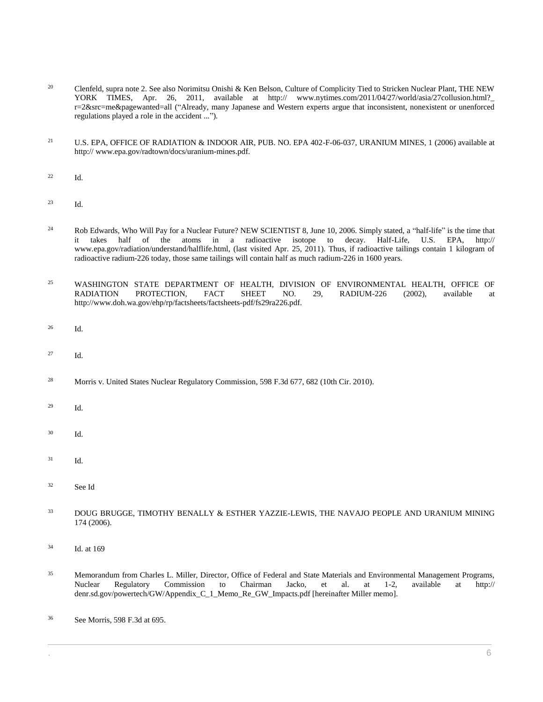- <sup>20</sup> Clenfeld, supra note 2. See also Norimitsu Onishi & Ken Belson, Culture of Complicity Tied to Stricken Nuclear Plant, THE NEW YORK TIMES, Apr. 26, 2011, available at http:// www.nytimes.com/2011/04/27/world/asia/27collusion.html? r=2&src=me&pagewanted=all ("Already, many Japanese and Western experts argue that inconsistent, nonexistent or unenforced regulations played a role in the accident ...").
- <sup>21</sup> U.S. EPA, OFFICE OF RADIATION & INDOOR AIR, PUB. NO. EPA 402-F-06-037, URANIUM MINES, 1 (2006) available at http:// www.epa.gov/radtown/docs/uranium-mines.pdf.
- <sup>22</sup> Id.
- <sup>23</sup> Id.
- <sup>24</sup> Rob Edwards, Who Will Pay for a Nuclear Future? NEW SCIENTIST 8, June 10, 2006. Simply stated, a "half-life" is the time that it takes half of the atoms in a radioactive isotope to decay. Half-Life, U.S. EPA, http:// www.epa.gov/radiation/understand/halflife.html, (last visited Apr. 25, 2011). Thus, if radioactive tailings contain 1 kilogram of radioactive radium-226 today, those same tailings will contain half as much radium-226 in 1600 years.
- <sup>25</sup> WASHINGTON STATE DEPARTMENT OF HEALTH, DIVISION OF ENVIRONMENTAL HEALTH, OFFICE OF RADIATION PROTECTION, FACT SHEET NO. 29, RADIUM-226 (2002), available at PROTECTION, FACT SHEET NO. 29, RADIUM-226 (2002), available at http://www.doh.wa.gov/ehp/rp/factsheets/factsheets-pdf/fs29ra226.pdf.
- <sup>26</sup> Id.
- <sup>27</sup> Id.
- <sup>28</sup> [Morris v. United States Nuclear Regulatory Commission, 598 F.3d 677, 682 \(10th Cir. 2010\).](http://www.westlaw.com/Link/Document/FullText?findType=Y&serNum=2021490631&pubNum=0000506&originatingDoc=I1ed640ee8c6911e498db8b09b4f043e0&refType=RP&fi=co_pp_sp_506_682&originationContext=document&vr=3.0&rs=cblt1.0&transitionType=DocumentItem&contextData=(sc.Search)#co_pp_sp_506_682)
- <sup>29</sup> Id.
- <sup>30</sup> Id.
- $31$  Id.
- <sup>32</sup> See Id
- <sup>33</sup> DOUG BRUGGE, TIMOTHY BENALLY & ESTHER YAZZIE-LEWIS, THE NAVAJO PEOPLE AND URANIUM MINING 174 (2006).
- <sup>34</sup> Id. at 169
- <sup>35</sup> Memorandum from Charles L. Miller, Director, Office of Federal and State Materials and Environmental Management Programs, Nuclear Regulatory Commission to Chairman Jacko, et al. at 1-2, available at http:// denr.sd.gov/powertech/GW/Appendix\_C\_1\_Memo\_Re\_GW\_Impacts.pdf [hereinafter Miller memo].
- <sup>36</sup> Se[e Morris, 598 F.3d at 695.](http://www.westlaw.com/Link/Document/FullText?findType=Y&serNum=2021490631&pubNum=0000506&originatingDoc=I1ed640ee8c6911e498db8b09b4f043e0&refType=RP&fi=co_pp_sp_506_695&originationContext=document&vr=3.0&rs=cblt1.0&transitionType=DocumentItem&contextData=(sc.Search)#co_pp_sp_506_695)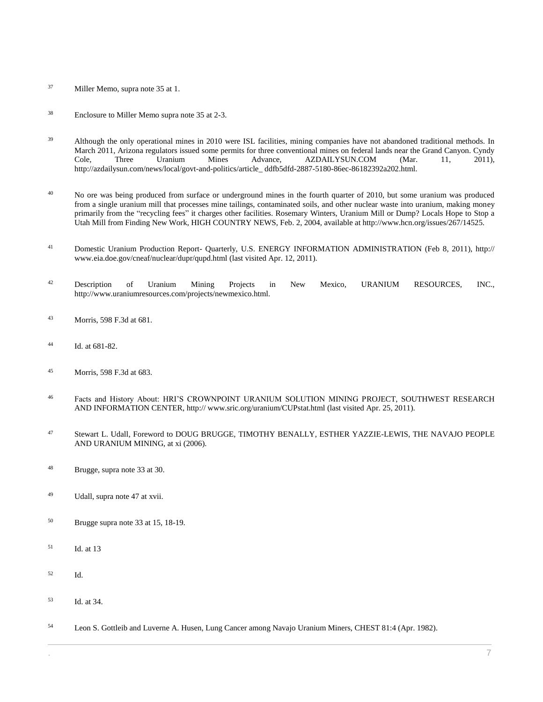- <sup>37</sup> Miller Memo, supra note 35 at 1.
- <sup>38</sup> Enclosure to Miller Memo supra note 35 at 2-3.
- <sup>39</sup> Although the only operational mines in 2010 were ISL facilities, mining companies have not abandoned traditional methods. In March 2011, Arizona regulators issued some permits for three conventional mines on federal lands near the Grand Canyon. Cyndy Cole, Three Uranium Mines Advance, AZDAILYSUN.COM (Mar. 11, 2011), http://azdailysun.com/news/local/govt-and-politics/article\_ ddfb5dfd-2887-5180-86ec-86182392a202.html.
- <sup>40</sup> No ore was being produced from surface or underground mines in the fourth quarter of 2010, but some uranium was produced from a single uranium mill that processes mine tailings, contaminated soils, and other nuclear waste into uranium, making money primarily from the "recycling fees" it charges other facilities. Rosemary Winters, Uranium Mill or Dump? Locals Hope to Stop a Utah Mill from Finding New Work, HIGH COUNTRY NEWS, Feb. 2, 2004, available at http://www.hcn.org/issues/267/14525.
- <sup>41</sup> Domestic Uranium Production Report- Quarterly, U.S. ENERGY INFORMATION ADMINISTRATION (Feb 8, 2011), http:// www.eia.doe.gov/cneaf/nuclear/dupr/qupd.html (last visited Apr. 12, 2011).
- <sup>42</sup> Description of Uranium Mining Projects in New Mexico, URANIUM RESOURCES, INC., http://www.uraniumresources.com/projects/newmexico.html.
- <sup>43</sup> [Morris, 598 F.3d at 681.](http://www.westlaw.com/Link/Document/FullText?findType=Y&serNum=2021490631&pubNum=0000506&originatingDoc=I1ed640ee8c6911e498db8b09b4f043e0&refType=RP&fi=co_pp_sp_506_681&originationContext=document&vr=3.0&rs=cblt1.0&transitionType=DocumentItem&contextData=(sc.Search)#co_pp_sp_506_681)
- <sup>44</sup> [Id. at 681-82.](http://www.westlaw.com/Link/Document/FullText?findType=Y&serNum=2021490631&pubNum=0000506&originatingDoc=I1ed640ee8c6911e498db8b09b4f043e0&refType=RP&fi=co_pp_sp_506_681&originationContext=document&vr=3.0&rs=cblt1.0&transitionType=DocumentItem&contextData=(sc.Search)#co_pp_sp_506_681)
- <sup>45</sup> [Morris, 598 F.3d at 683.](http://www.westlaw.com/Link/Document/FullText?findType=Y&serNum=2021490631&pubNum=0000506&originatingDoc=I1ed640ee8c6911e498db8b09b4f043e0&refType=RP&fi=co_pp_sp_506_683&originationContext=document&vr=3.0&rs=cblt1.0&transitionType=DocumentItem&contextData=(sc.Search)#co_pp_sp_506_683)
- <sup>46</sup> Facts and History About: HRI'S CROWNPOINT URANIUM SOLUTION MINING PROJECT, SOUTHWEST RESEARCH AND INFORMATION CENTER, http:// www.sric.org/uranium/CUPstat.html (last visited Apr. 25, 2011).
- <sup>47</sup> Stewart L. Udall, Foreword to DOUG BRUGGE, TIMOTHY BENALLY, ESTHER YAZZIE-LEWIS, THE NAVAJO PEOPLE AND URANIUM MINING, at xi (2006).
- <sup>48</sup> Brugge, supra note 33 at 30.
- <sup>49</sup> Udall, supra note 47 at xvii.
- <sup>50</sup> Brugge supra note 33 at 15, 18-19.
- <sup>51</sup> Id. at 13
- <sup>52</sup> Id.
- <sup>53</sup> Id. at 34.
- <sup>54</sup> Leon S. Gottleib and Luverne A. Husen, Lung Cancer among Navajo Uranium Miners, CHEST 81:4 (Apr. 1982).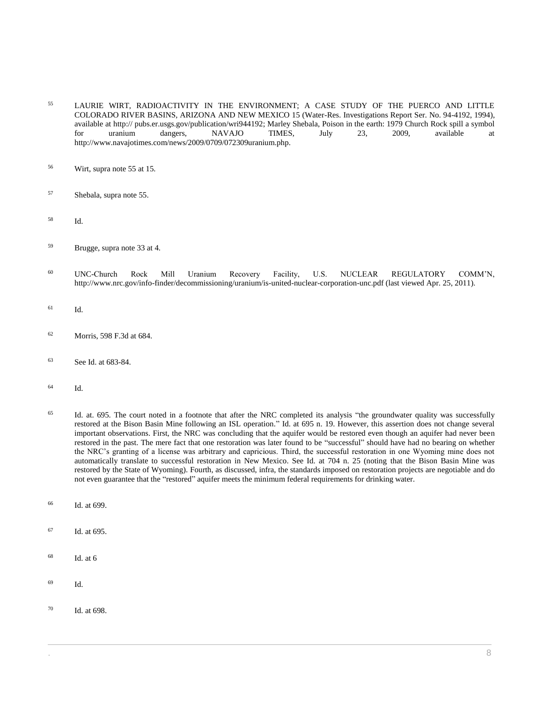- <sup>55</sup> LAURIE WIRT, RADIOACTIVITY IN THE ENVIRONMENT; A CASE STUDY OF THE PUERCO AND LITTLE COLORADO RIVER BASINS, ARIZONA AND NEW MEXICO 15 (Water-Res. Investigations Report Ser. No. 94-4192, 1994), available at http:// pubs.er.usgs.gov/publication/wri944192; Marley Shebala, Poison in the earth: 1979 Church Rock spill a symbol<br>for uranium dangers, NAVAJO TIMES, July 23, 2009, available at for uranium dangers, NAVAJO TIMES, July 23, 2009, available at http://www.navajotimes.com/news/2009/0709/072309uranium.php.
- <sup>56</sup> Wirt, supra note 55 at 15.
- <sup>57</sup> Shebala, supra note 55.
- <sup>58</sup> Id.
- <sup>59</sup> Brugge, supra note 33 at 4.
- <sup>60</sup> UNC-Church Rock Mill Uranium Recovery Facility, U.S. NUCLEAR REGULATORY COMM'N, http://www.nrc.gov/info-finder/decommissioning/uranium/is-united-nuclear-corporation-unc.pdf (last viewed Apr. 25, 2011).
- <sup>61</sup> Id.
- <sup>62</sup> [Morris, 598 F.3d at 684.](http://www.westlaw.com/Link/Document/FullText?findType=Y&serNum=2021490631&pubNum=0000506&originatingDoc=I1ed640ee8c6911e498db8b09b4f043e0&refType=RP&fi=co_pp_sp_506_684&originationContext=document&vr=3.0&rs=cblt1.0&transitionType=DocumentItem&contextData=(sc.Search)#co_pp_sp_506_684)
- <sup>63</sup> Se[e Id. at 683-84.](http://www.westlaw.com/Link/Document/FullText?findType=Y&serNum=2021490631&pubNum=0000506&originatingDoc=I1ed640ee8c6911e498db8b09b4f043e0&refType=RP&fi=co_pp_sp_506_683&originationContext=document&vr=3.0&rs=cblt1.0&transitionType=DocumentItem&contextData=(sc.Search)#co_pp_sp_506_683)
- <sup>64</sup> Id.
- <sup>65</sup> Id. at. 695. The court noted in a footnote that after the NRC completed its analysis "the groundwater quality was successfully restored at the Bison Basin Mine following an ISL operation." Id. at 695 n. 19. However, this assertion does not change several important observations. First, the NRC was concluding that the aquifer would be restored even though an aquifer had never been restored in the past. The mere fact that one restoration was later found to be "successful" should have had no bearing on whether the NRC's granting of a license was arbitrary and capricious. Third, the successful restoration in one Wyoming mine does not automatically translate to successful restoration in New Mexico. See Id. at 704 n. 25 (noting that the Bison Basin Mine was restored by the State of Wyoming). Fourth, as discussed, infra, the standards imposed on restoration projects are negotiable and do not even guarantee that the "restored" aquifer meets the minimum federal requirements for drinking water.
- <sup>66</sup> Id. at 699.
- <sup>67</sup> Id. at 695.
- $68$  Id. at 6
- <sup>69</sup> Id.
- <sup>70</sup> Id. at 698.